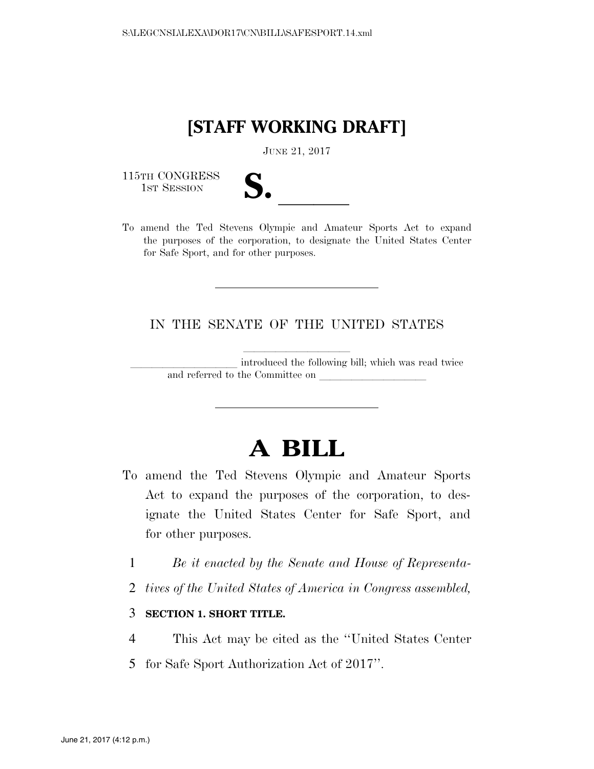### **[STAFF WORKING DRAFT]**

JUNE 21, 2017

115TH CONGRESS<br>1st Session

| ۷                        |  |
|--------------------------|--|
|                          |  |
| $\overline{\phantom{a}}$ |  |

115TH CONGRESS<br>
1ST SESSION<br>
To amend the Ted Stevens Olympic and Amateur Sports Act to expand the purposes of the corporation, to designate the United States Center for Safe Sport, and for other purposes.

IN THE SENATE OF THE UNITED STATES

introduced the following bill; which was read twice and referred to the Committee on

# **A BILL**

- To amend the Ted Stevens Olympic and Amateur Sports Act to expand the purposes of the corporation, to designate the United States Center for Safe Sport, and for other purposes.
	- 1 *Be it enacted by the Senate and House of Representa-*
	- 2 *tives of the United States of America in Congress assembled,*

3 **SECTION 1. SHORT TITLE.** 

- 4 This Act may be cited as the ''United States Center
- 5 for Safe Sport Authorization Act of 2017''.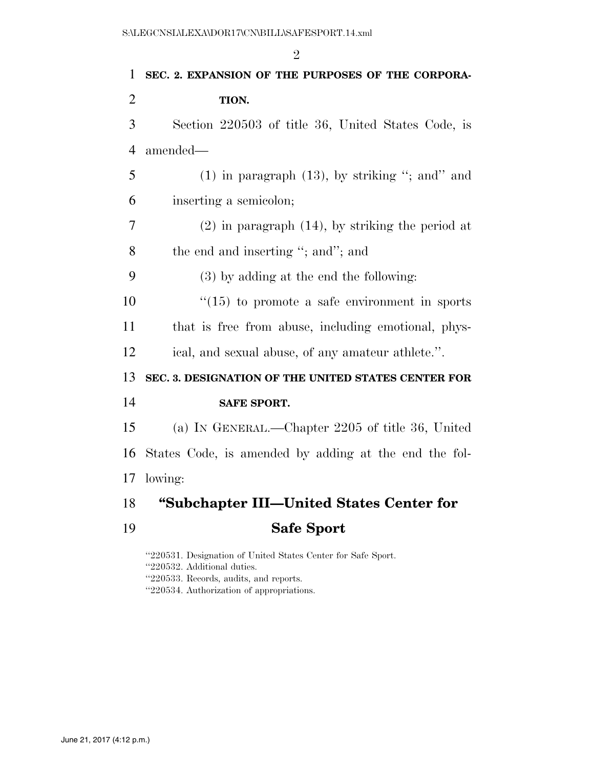|                | $\overline{2}$                                        |
|----------------|-------------------------------------------------------|
| $\mathbf{1}$   | SEC. 2. EXPANSION OF THE PURPOSES OF THE CORPORA-     |
| $\overline{2}$ | TION.                                                 |
| 3              | Section 220503 of title 36, United States Code, is    |
| $\overline{4}$ | amended-                                              |
| 5              | $(1)$ in paragraph $(13)$ , by striking "; and" and   |
| 6              | inserting a semicolon;                                |
| 7              | $(2)$ in paragraph $(14)$ , by striking the period at |
| 8              | the end and inserting "; and"; and                    |
| 9              | $(3)$ by adding at the end the following:             |
| 10             | $\lq(15)$ to promote a safe environment in sports     |
| 11             | that is free from abuse, including emotional, phys-   |
| 12             | ical, and sexual abuse, of any amateur athlete.".     |
| 13             | SEC. 3. DESIGNATION OF THE UNITED STATES CENTER FOR   |
| 14             | <b>SAFE SPORT.</b>                                    |
| 15             | (a) IN GENERAL.—Chapter 2205 of title 36, United      |
| 16             | States Code, is amended by adding at the end the fol- |
| 17             | lowing:                                               |
| 18             | "Subchapter III—United States Center for              |
| 19             | <b>Safe Sport</b>                                     |

''220531. Designation of United States Center for Safe Sport. ''220532. Additional duties. ''220533. Records, audits, and reports. ''220534. Authorization of appropriations.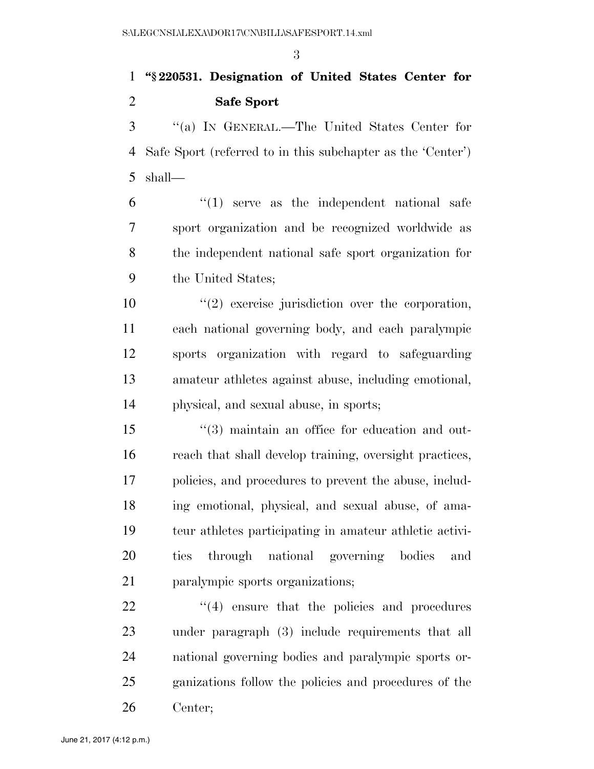#### **''§ 220531. Designation of United States Center for Safe Sport**

 ''(a) IN GENERAL.—The United States Center for Safe Sport (referred to in this subchapter as the 'Center') shall—

 $\frac{6}{1}$  ''(1) serve as the independent national safe sport organization and be recognized worldwide as the independent national safe sport organization for the United States;

 $\frac{1}{2}$  exercise jurisdiction over the corporation, each national governing body, and each paralympic sports organization with regard to safeguarding amateur athletes against abuse, including emotional, physical, and sexual abuse, in sports;

 ''(3) maintain an office for education and out- reach that shall develop training, oversight practices, policies, and procedures to prevent the abuse, includ- ing emotional, physical, and sexual abuse, of ama- teur athletes participating in amateur athletic activi- ties through national governing bodies and paralympic sports organizations;

  $(4)$  ensure that the policies and procedures under paragraph (3) include requirements that all national governing bodies and paralympic sports or- ganizations follow the policies and procedures of the Center;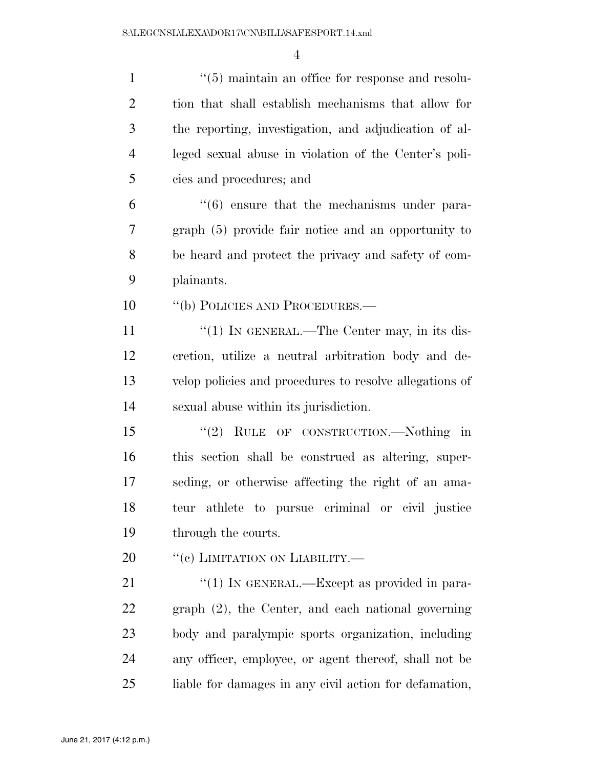| $\mathbf{1}$   | $\cdot$ (5) maintain an office for response and resolu-     |
|----------------|-------------------------------------------------------------|
| $\overline{2}$ | tion that shall establish mechanisms that allow for         |
| 3              | the reporting, investigation, and adjudication of al-       |
| $\overline{4}$ | leged sexual abuse in violation of the Center's poli-       |
| 5              | cies and procedures; and                                    |
| 6              | $\cdot\cdot\cdot(6)$ ensure that the mechanisms under para- |
| 7              | graph (5) provide fair notice and an opportunity to         |
| 8              | be heard and protect the privacy and safety of com-         |
| 9              | plainants.                                                  |
| 10             | "(b) POLICIES AND PROCEDURES.—                              |
| 11             | " $(1)$ In GENERAL.—The Center may, in its dis-             |
| 12             | cretion, utilize a neutral arbitration body and de-         |
| 13             | velop policies and procedures to resolve allegations of     |
| 14             | sexual abuse within its jurisdiction.                       |
| 15             | RULE OF CONSTRUCTION.-Nothing in<br>(2)                     |
| 16             | this section shall be construed as altering, super-         |
| 17             | seding, or otherwise affecting the right of an ama-         |
| 18             | teur athlete to pursue criminal or civil justice            |
| 19             | through the courts.                                         |
| 20             | "(c) LIMITATION ON LIABILITY.—                              |
| 21             | "(1) IN GENERAL.—Except as provided in para-                |
| 22             | graph (2), the Center, and each national governing          |
| 23             | body and paralympic sports organization, including          |
| 24             | any officer, employee, or agent thereof, shall not be       |
| 25             | liable for damages in any civil action for defamation,      |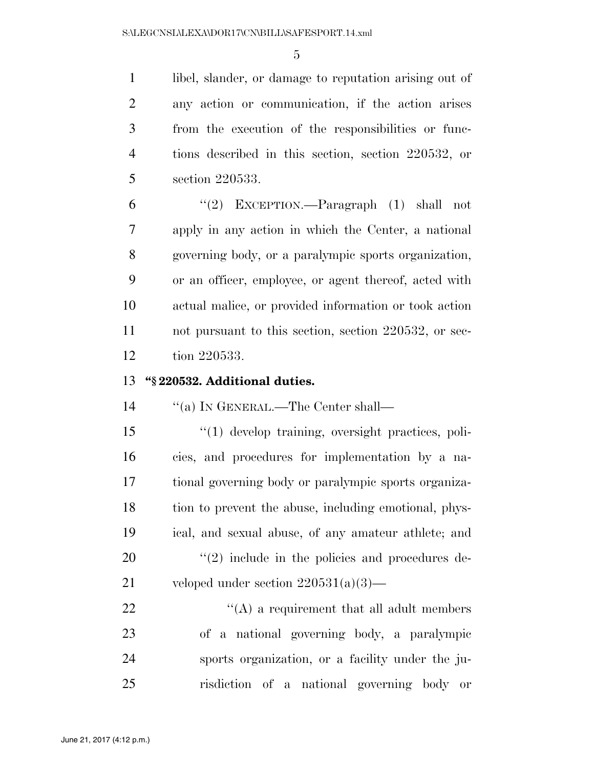1 libel, slander, or damage to reputation arising out of any action or communication, if the action arises from the execution of the responsibilities or func- tions described in this section, section 220532, or section 220533.

 ''(2) EXCEPTION.—Paragraph (1) shall not apply in any action in which the Center, a national governing body, or a paralympic sports organization, or an officer, employee, or agent thereof, acted with actual malice, or provided information or took action not pursuant to this section, section 220532, or sec-tion 220533.

#### **''§ 220532. Additional duties.**

14 "(a) IN GENERAL.—The Center shall—

 ''(1) develop training, oversight practices, poli- cies, and procedures for implementation by a na- tional governing body or paralympic sports organiza- tion to prevent the abuse, including emotional, phys- ical, and sexual abuse, of any amateur athlete; and  $\qquad$   $\qquad$   $\qquad$   $\qquad$   $\qquad$   $\qquad$   $\qquad$   $\qquad$   $\qquad$   $\qquad$   $\qquad$   $\qquad$   $\qquad$   $\qquad$   $\qquad$   $\qquad$   $\qquad$   $\qquad$   $\qquad$   $\qquad$   $\qquad$   $\qquad$   $\qquad$   $\qquad$   $\qquad$   $\qquad$   $\qquad$   $\qquad$   $\qquad$   $\qquad$   $\qquad$   $\qquad$   $\qquad$   $\qquad$   $\qquad$   $\qquad$  veloped under section 220531(a)(3)—

 $\mathcal{L}(A)$  a requirement that all adult members of a national governing body, a paralympic sports organization, or a facility under the ju-risdiction of a national governing body or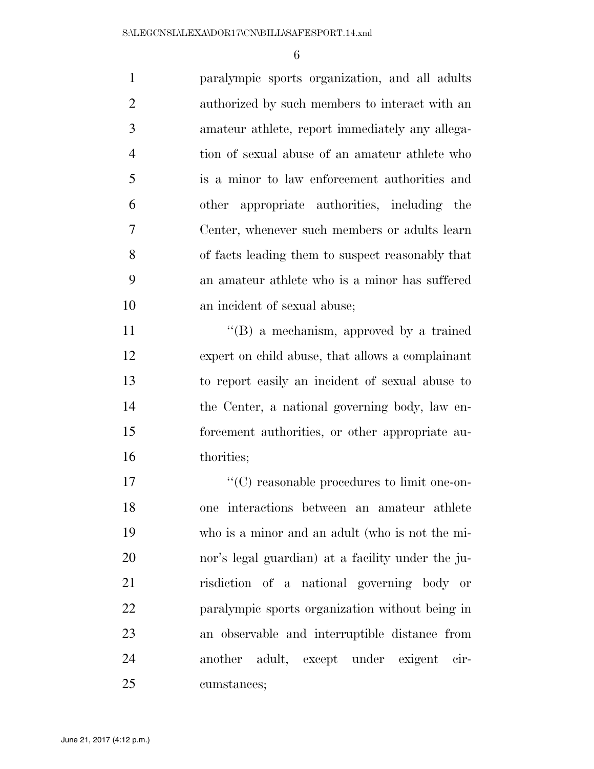paralympic sports organization, and all adults authorized by such members to interact with an amateur athlete, report immediately any allega- tion of sexual abuse of an amateur athlete who is a minor to law enforcement authorities and other appropriate authorities, including the Center, whenever such members or adults learn of facts leading them to suspect reasonably that an amateur athlete who is a minor has suffered an incident of sexual abuse; 11 ''(B) a mechanism, approved by a trained expert on child abuse, that allows a complainant to report easily an incident of sexual abuse to the Center, a national governing body, law en- forcement authorities, or other appropriate au- thorities; ''(C) reasonable procedures to limit one-on-

 one interactions between an amateur athlete who is a minor and an adult (who is not the mi- nor's legal guardian) at a facility under the ju- risdiction of a national governing body or paralympic sports organization without being in an observable and interruptible distance from another adult, except under exigent cir-cumstances;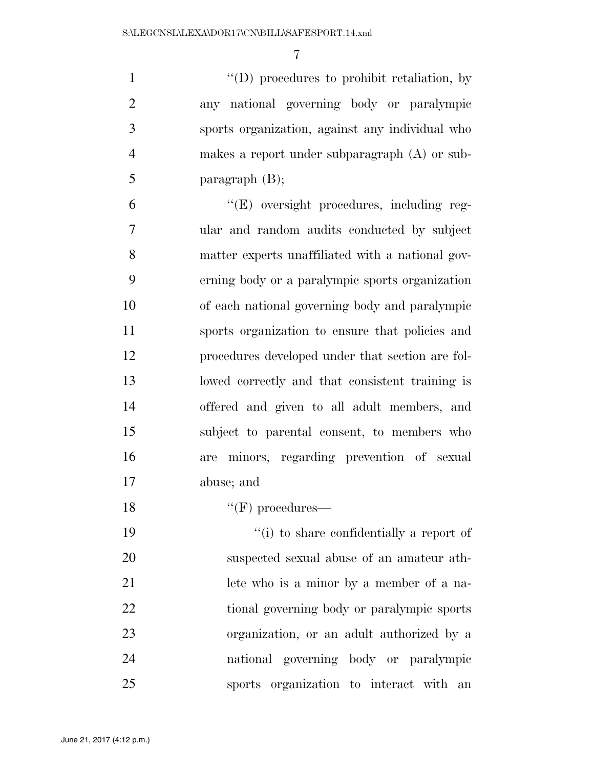$\langle (D) \rangle$  procedures to prohibit retaliation, by any national governing body or paralympic sports organization, against any individual who makes a report under subparagraph (A) or sub-paragraph (B);

 ''(E) oversight procedures, including reg- ular and random audits conducted by subject matter experts unaffiliated with a national gov- erning body or a paralympic sports organization of each national governing body and paralympic sports organization to ensure that policies and procedures developed under that section are fol- lowed correctly and that consistent training is offered and given to all adult members, and subject to parental consent, to members who are minors, regarding prevention of sexual abuse; and

18  $"({\rm F})$  procedures—

 ''(i) to share confidentially a report of suspected sexual abuse of an amateur ath- lete who is a minor by a member of a na- tional governing body or paralympic sports organization, or an adult authorized by a national governing body or paralympic sports organization to interact with an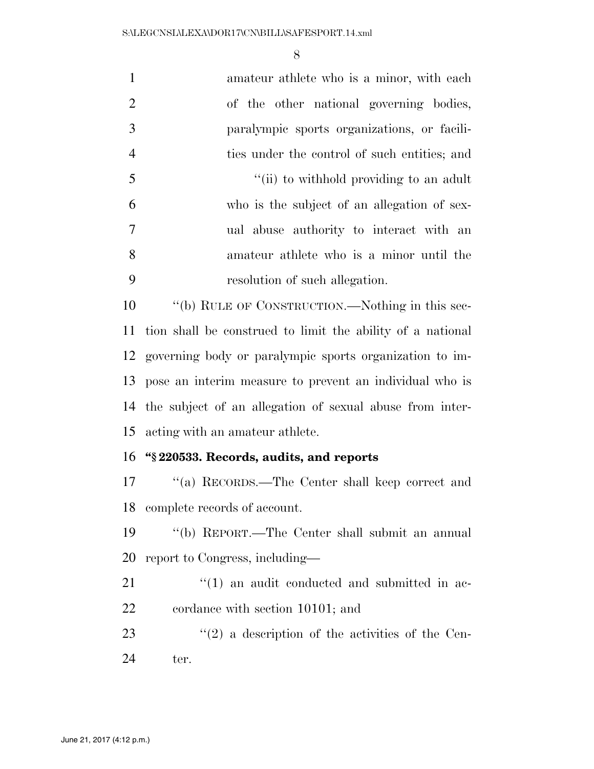| $\mathbf{1}$   | amateur athlete who is a minor, with each                  |
|----------------|------------------------------------------------------------|
| $\overline{2}$ | of the other national governing bodies,                    |
| 3              | paralympic sports organizations, or facili-                |
| $\overline{4}$ | ties under the control of such entities; and               |
| 5              | "(ii) to withhold providing to an adult                    |
| 6              | who is the subject of an allegation of sex-                |
| 7              | ual abuse authority to interact with an                    |
| 8              | amateur athlete who is a minor until the                   |
| 9              | resolution of such allegation.                             |
| 10             | "(b) RULE OF CONSTRUCTION.—Nothing in this sec-            |
| 11             | tion shall be construed to limit the ability of a national |
| 12             | governing body or paralympic sports organization to im-    |
| 13             | pose an interim measure to prevent an individual who is    |
| 14             | the subject of an allegation of sexual abuse from inter-   |
| 15             | acting with an amateur athlete.                            |
| 16             | "§220533. Records, audits, and reports                     |
| 17             | "(a) RECORDS.—The Center shall keep correct and            |
| 18             | complete records of account.                               |
| 19             | "(b) REPORT.—The Center shall submit an annual             |
| 20             | report to Congress, including—                             |
| 21             | $\lq(1)$ an audit conducted and submitted in ac-           |
| 22             | cordance with section 10101; and                           |
| 23             | $(2)$ a description of the activities of the Cen-          |
| 24             | ter.                                                       |